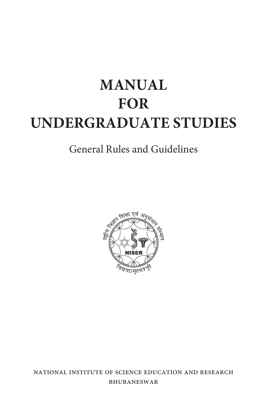# **MANUAL FOR UNDERGRADUATE STUDIES**

# General Rules and Guidelines



national institute of science education and research bhubaneswar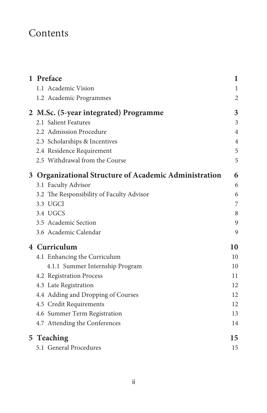# Contents

| 1 Preface                                             | 1              |
|-------------------------------------------------------|----------------|
| 1.1 Academic Vision                                   | 1              |
| 1.2 Academic Programmes                               | 2              |
| 2 M.Sc. (5-year integrated) Programme                 | 3              |
| 2.1 Salient Features                                  | 3              |
| 2.2 Admission Procedure                               | 4              |
| 2.3 Scholarships & Incentives                         | $\overline{4}$ |
| 2.4 Residence Requirement                             | 5              |
| 2.5 Withdrawal from the Course                        | 5              |
| 3 Organizational Structure of Academic Administration | 6              |
| 3.1 Faculty Advisor                                   | 6              |
| 3.2 The Responsibility of Faculty Advisor             | 6              |
| 3.3 UGCI                                              | 7              |
| 3.4 UGCS                                              | 8              |
| 3.5 Academic Section                                  | 9              |
| 3.6 Academic Calendar                                 | 9              |
| 4 Curriculum                                          | 10             |
| 4.1 Enhancing the Curriculum                          | 10             |
| 4.1.1 Summer Internship Program                       | 10             |
| 4.2 Registration Process                              | 11             |
| 4.3 Late Registration                                 | 12             |
| 4.4 Adding and Dropping of Courses                    | 12             |
| 4.5 Credit Requirements                               | 12             |
| 4.6 Summer Term Registration                          | 13             |
| 4.7 Attending the Conferences                         | 14             |
| 5 Teaching                                            | 15             |
| 5.1 General Procedures                                | 15             |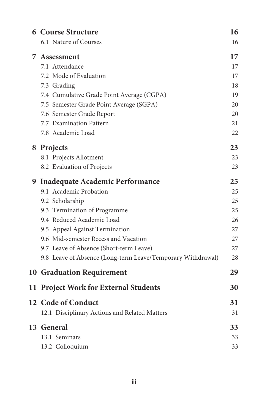| <b>6 Course Structure</b>                                   | 16 |
|-------------------------------------------------------------|----|
| 6.1 Nature of Courses                                       | 16 |
| <b>7 Assessment</b>                                         | 17 |
| 7.1 Attendance                                              | 17 |
| 7.2 Mode of Evaluation                                      | 17 |
| 7.3 Grading                                                 | 18 |
| 7.4 Cumulative Grade Point Average (CGPA)                   | 19 |
| 7.5 Semester Grade Point Average (SGPA)                     | 20 |
| 7.6 Semester Grade Report                                   | 20 |
| 7.7 Examination Pattern                                     | 21 |
| 7.8 Academic Load                                           | 22 |
| 8 Projects                                                  | 23 |
| 8.1 Projects Allotment                                      | 23 |
| 8.2 Evaluation of Projects                                  | 23 |
| 9 Inadequate Academic Performance                           |    |
| 9.1 Academic Probation                                      | 25 |
| 9.2 Scholarship                                             | 25 |
| 9.3 Termination of Programme                                | 25 |
| 9.4 Reduced Academic Load                                   | 26 |
| 9.5 Appeal Against Termination                              | 27 |
| 9.6 Mid-semester Recess and Vacation                        | 27 |
| 9.7 Leave of Absence (Short-term Leave)                     | 27 |
| 9.8 Leave of Absence (Long-term Leave/Temporary Withdrawal) | 28 |
| <b>10 Graduation Requirement</b>                            | 29 |
| 11 Project Work for External Students                       | 30 |
| 12 Code of Conduct                                          | 31 |
| 12.1 Disciplinary Actions and Related Matters               | 31 |
| 13 General                                                  | 33 |
| 13.1 Seminars                                               | 33 |
| 13.2 Colloquium                                             | 33 |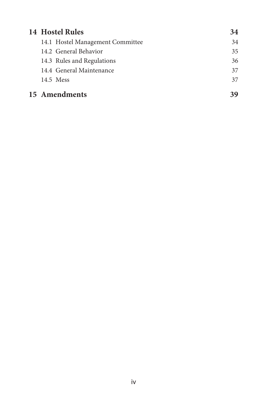| 14 Hostel Rules                  | 34 |
|----------------------------------|----|
| 14.1 Hostel Management Committee | 34 |
| 14.2 General Behavior            | 35 |
| 14.3 Rules and Regulations       | 36 |
| 14.4 General Maintenance         | 37 |
| 14.5 Mess                        | 37 |
| 15 Amendments                    | 39 |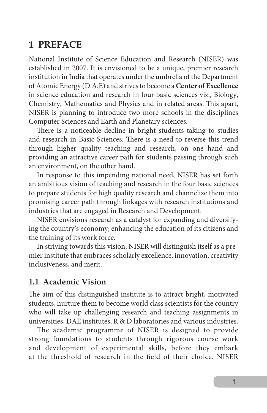# **1 PREFACE**

National Institute of Science Education and Research (NISER) was established in 2007. It is envisioned to be a unique, premier research institution in India that operates under the umbrella of the Department of Atomic Energy (D.A.E) and strives to become a **Center of Excellence** in science education and research in four basic sciences viz., Biology, Chemistry, Mathematics and Physics and in related areas. This apart, NISER is planning to introduce two more schools in the disciplines Computer Sciences and Earth and Planetary sciences.

There is a noticeable decline in bright students taking to studies and research in Basic Sciences. There is a need to reverse this trend through higher quality teaching and research, on one hand and providing an attractive career path for students passing through such an environment, on the other hand.

In response to this impending national need, NISER has set forth an ambitious vision of teaching and research in the four basic sciences to prepare students for high quality research and channelize them into promising career path through linkages with research institutions and industries that are engaged in Research and Development.

NISER envisions research as a catalyst for expanding and diversifying the country's economy; enhancing the education of its citizens and the training of its work force.

In striving towards this vision, NISER will distinguish itself as a premier institute that embraces scholarly excellence, innovation, creativity inclusiveness, and merit.

#### **1.1 Academic Vision**

The aim of this distinguished institute is to attract bright, motivated students, nurture them to become world class scientists for the country who will take up challenging research and teaching assignments in universities, DAE institutes, R & D laboratories and various industries.

The academic programme of NISER is designed to provide strong foundations to students through rigorous course work and development of experimental skills, before they embark at the threshold of research in the field of their choice. NISER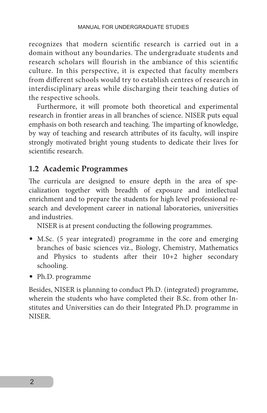recognizes that modern scientific research is carried out in a domain without any boundaries. The undergraduate students and research scholars will flourish in the ambiance of this scientific culture. In this perspective, it is expected that faculty members from different schools would try to establish centres of research in interdisciplinary areas while discharging their teaching duties of the respective schools.

Furthermore, it will promote both theoretical and experimental research in frontier areas in all branches of science. NISER puts equal emphasis on both research and teaching. The imparting of knowledge, by way of teaching and research attributes of its faculty, will inspire strongly motivated bright young students to dedicate their lives for scientific research.

### **1.2 Academic Programmes**

The curricula are designed to ensure depth in the area of specialization together with breadth of exposure and intellectual enrichment and to prepare the students for high level professional research and development career in national laboratories, universities and industries.

NISER is at present conducting the following programmes.

- M.Sc. (5 year integrated) programme in the core and emerging branches of basic sciences viz., Biology, Chemistry, Mathematics and Physics to students after their 10+2 higher secondary schooling.
- Ph.D. programme

Besides, NISER is planning to conduct Ph.D. (integrated) programme, wherein the students who have completed their B.Sc. from other Institutes and Universities can do their Integrated Ph.D. programme in NISER.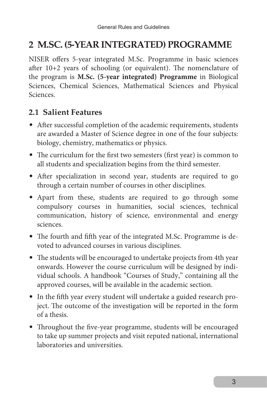# **2 M.SC. (5-YEAR INTEGRATED) PROGRAMME**

NISER offers 5-year integrated M.Sc. Programme in basic sciences after 10+2 years of schooling (or equivalent). The nomenclature of the program is **M.Sc. (5-year integrated) Programme** in Biological Sciences, Chemical Sciences, Mathematical Sciences and Physical Sciences.

### **2.1 Salient Features**

- After successful completion of the academic requirements, students are awarded a Master of Science degree in one of the four subjects: biology, chemistry, mathematics or physics.
- The curriculum for the first two semesters (first year) is common to all students and specialization begins from the third semester.
- After specialization in second year, students are required to go through a certain number of courses in other disciplines.
- Apart from these, students are required to go through some compulsory courses in humanities, social sciences, technical communication, history of science, environmental and energy sciences.
- The fourth and fifth year of the integrated M.Sc. Programme is devoted to advanced courses in various disciplines.
- The students will be encouraged to undertake projects from 4th year onwards. However the course curriculum will be designed by individual schools. A handbook "Courses of Study," containing all the approved courses, will be available in the academic section.
- In the fifth year every student will undertake a guided research project. The outcome of the investigation will be reported in the form of a thesis.
- Throughout the five-year programme, students will be encouraged to take up summer projects and visit reputed national, international laboratories and universities.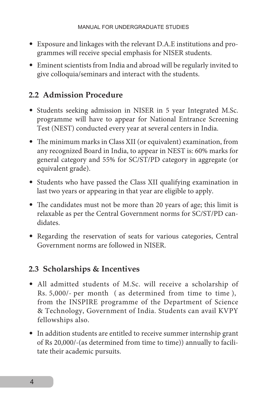- Exposure and linkages with the relevant D.A.E institutions and programmes will receive special emphasis for NISER students.
- Eminent scientists from India and abroad will be regularly invited to give colloquia/seminars and interact with the students.

# **2.2 Admission Procedure**

- Students seeking admission in NISER in 5 year Integrated M.Sc. programme will have to appear for National Entrance Screening Test (NEST) conducted every year at several centers in India.
- The minimum marks in Class XII (or equivalent) examination, from any recognized Board in India, to appear in NEST is: 60% marks for general category and 55% for SC/ST/PD category in aggregate (or equivalent grade).
- Students who have passed the Class XII qualifying examination in last two years or appearing in that year are eligible to apply.
- The candidates must not be more than 20 years of age; this limit is relaxable as per the Central Government norms for SC/ST/PD candidates.
- Regarding the reservation of seats for various categories, Central Government norms are followed in NISER.

### **2.3 Scholarships & Incentives**

- All admitted students of M.Sc. will receive a scholarship of Rs. 5,000/- per month ( as determined from time to time ), from the INSPIRE programme of the Department of Science & Technology, Government of India. Students can avail KVPY fellowships also.
- In addition students are entitled to receive summer internship grant of Rs 20,000/-(as determined from time to time)) annually to facilitate their academic pursuits.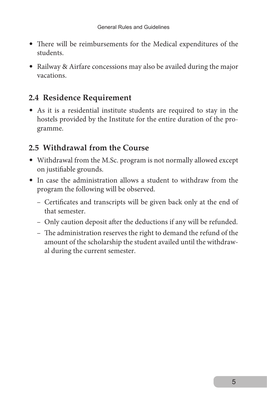- There will be reimbursements for the Medical expenditures of the students.
- Railway & Airfare concessions may also be availed during the major vacations.

# **2.4 Residence Requirement**

• As it is a residential institute students are required to stay in the hostels provided by the Institute for the entire duration of the programme.

### **2.5 Withdrawal from the Course**

- Withdrawal from the M.Sc. program is not normally allowed except on justifiable grounds.
- In case the administration allows a student to withdraw from the program the following will be observed.
	- Certificates and transcripts will be given back only at the end of that semester.
	- Only caution deposit after the deductions if any will be refunded.
	- The administration reserves the right to demand the refund of the amount of the scholarship the student availed until the withdrawal during the current semester.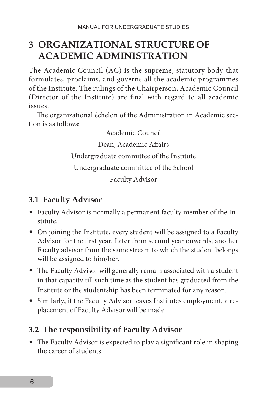# **3 ORGANIZATIONAL STRUCTURE OF ACADEMIC ADMINISTRATION**

The Academic Council (AC) is the supreme, statutory body that formulates, proclaims, and governs all the academic programmes of the Institute. The rulings of the Chairperson, Academic Council (Director of the Institute) are final with regard to all academic issues.

The organizational échelon of the Administration in Academic section is as follows:

> Academic Council Dean, Academic Affairs Undergraduate committee of the Institute Undergraduate committee of the School Faculty Advisor

# **3.1 Faculty Advisor**

- Faculty Advisor is normally a permanent faculty member of the Institute.
- On joining the Institute, every student will be assigned to a Faculty Advisor for the first year. Later from second year onwards, another Faculty advisor from the same stream to which the student belongs will be assigned to him/her.
- The Faculty Advisor will generally remain associated with a student in that capacity till such time as the student has graduated from the Institute or the studentship has been terminated for any reason.
- Similarly, if the Faculty Advisor leaves Institutes employment, a replacement of Faculty Advisor will be made.

# **3.2 The responsibility of Faculty Advisor**

• The Faculty Advisor is expected to play a significant role in shaping the career of students.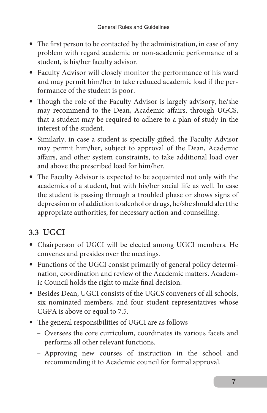- The first person to be contacted by the administration, in case of any problem with regard academic or non-academic performance of a student, is his/her faculty advisor.
- Faculty Advisor will closely monitor the performance of his ward and may permit him/her to take reduced academic load if the performance of the student is poor.
- Though the role of the Faculty Advisor is largely advisory, he/she may recommend to the Dean, Academic affairs, through UGCS, that a student may be required to adhere to a plan of study in the interest of the student.
- Similarly, in case a student is specially gifted, the Faculty Advisor may permit him/her, subject to approval of the Dean, Academic affairs, and other system constraints, to take additional load over and above the prescribed load for him/her.
- The Faculty Advisor is expected to be acquainted not only with the academics of a student, but with his/her social life as well. In case the student is passing through a troubled phase or shows signs of depression or of addiction to alcohol or drugs, he/she should alert the appropriate authorities, for necessary action and counselling.

# **3.3 UGCI**

- Chairperson of UGCI will be elected among UGCI members. He convenes and presides over the meetings.
- Functions of the UGCI consist primarily of general policy determination, coordination and review of the Academic matters. Academic Council holds the right to make final decision.
- Besides Dean, UGCI consists of the UGCS conveners of all schools, six nominated members, and four student representatives whose CGPA is above or equal to 7.5.
- The general responsibilities of UGCI are as follows
	- Oversees the core curriculum, coordinates its various facets and performs all other relevant functions.
	- Approving new courses of instruction in the school and recommending it to Academic council for formal approval.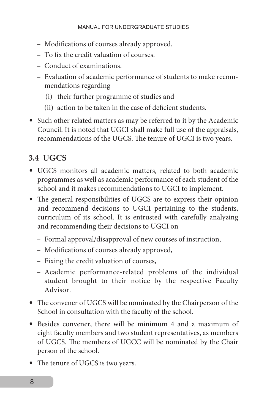- Modifications of courses already approved.
- To fix the credit valuation of courses.
- Conduct of examinations.
- Evaluation of academic performance of students to make recommendations regarding
	- (i) their further programme of studies and
	- (ii) action to be taken in the case of deficient students.
- Such other related matters as may be referred to it by the Academic Council. It is noted that UGCI shall make full use of the appraisals, recommendations of the UGCS. The tenure of UGCI is two years.

# **3.4 UGCS**

- UGCS monitors all academic matters, related to both academic programmes as well as academic performance of each student of the school and it makes recommendations to UGCI to implement.
- The general responsibilities of UGCS are to express their opinion and recommend decisions to UGCI pertaining to the students, curriculum of its school. It is entrusted with carefully analyzing and recommending their decisions to UGCI on
	- Formal approval/disapproval of new courses of instruction,
	- Modifications of courses already approved,
	- Fixing the credit valuation of courses,
	- Academic performance-related problems of the individual student brought to their notice by the respective Faculty Advisor.
- The convener of UGCS will be nominated by the Chairperson of the School in consultation with the faculty of the school.
- Besides convener, there will be minimum 4 and a maximum of eight faculty members and two student representatives, as members of UGCS. The members of UGCC will be nominated by the Chair person of the school.
- The tenure of UGCS is two years.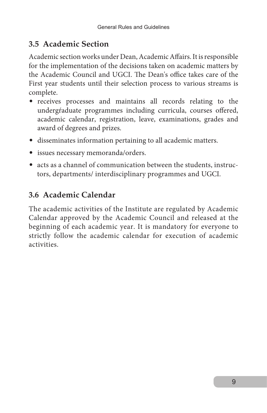### **3.5 Academic Section**

Academic section works under Dean, Academic Affairs. It is responsible for the implementation of the decisions taken on academic matters by the Academic Council and UGCI. The Dean's office takes care of the First year students until their selection process to various streams is complete.

- receives processes and maintains all records relating to the undergŕaduate programmes including curricula, courses offered, academic calendar, registration, leave, examinations, grades and award of degrees and prizes.
- disseminates information pertaining to all academic matters.
- issues necessary memoranda/orders.
- acts as a channel of communication between the students, instructors, departments/ interdisciplinary programmes and UGCI.

# **3.6 Academic Calendar**

The academic activities of the Institute are regulated by Academic Calendar approved by the Academic Council and released at the beginning of each academic year. It is mandatory for everyone to strictly follow the academic calendar for execution of academic activities.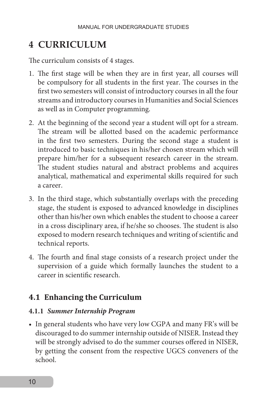# **4 CURRICULUM**

The curriculum consists of 4 stages.

- 1. The first stage will be when they are in first year, all courses will be compulsory for all students in the first year. The courses in the first two semesters will consist of introductory courses in all the four streams and introductory courses in Humanities and Social Sciences as well as in Computer programming.
- 2. At the beginning of the second year a student will opt for a stream. The stream will be allotted based on the academic performance in the first two semesters. During the second stage a student is introduced to basic techniques in his/her chosen stream which will prepare him/her for a subsequent research career in the stream. The student studies natural and abstract problems and acquires analytical, mathematical and experimental skills required for such a career.
- 3. In the third stage, which substantially overlaps with the preceding stage, the student is exposed to advanced knowledge in disciplines other than his/her own which enables the student to choose a career in a cross disciplinary area, if he/she so chooses. The student is also exposed to modern research techniques and writing of scientific and technical reports.
- 4. The fourth and final stage consists of a research project under the supervision of a guide which formally launches the student to a career in scientific research.

### **4.1 Enhancing the Curriculum**

#### **4.1.1** *Summer Internship Program*

• In general students who have very low CGPA and many FR's will be discouraged to do summer internship outside of NISER. Instead they will be strongly advised to do the summer courses offered in NISER, by getting the consent from the respective UGCS conveners of the school.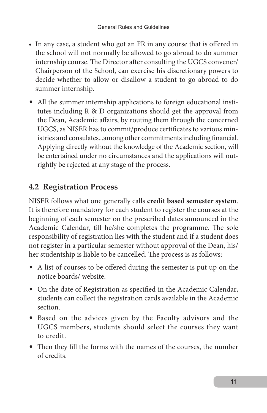- In any case, a student who got an FR in any course that is offered in the school will not normally be allowed to go abroad to do summer internship course. The Director after consulting the UGCS convener/ Chairperson of the School, can exercise his discretionary powers to decide whether to allow or disallow a student to go abroad to do summer internship.
- All the summer internship applications to foreign educational institutes including R & D organizations should get the approval from the Dean, Academic affairs, by routing them through the concerned UGCS, as NISER has to commit/produce certificates to various ministries and consulates...among other commitments including financial. Applying directly without the knowledge of the Academic section, will be entertained under no circumstances and the applications will outrightly be rejected at any stage of the process.

# **4.2 Registration Process**

NISER follows what one generally calls **credit based semester system**. It is therefore mandatory for each student to register the courses at the beginning of each semester on the prescribed dates announced in the Academic Calendar, till he/she completes the programme. The sole responsibility of registration lies with the student and if a student does not register in a particular semester without approval of the Dean, his/ her studentship is liable to be cancelled. The process is as follows:

- A list of courses to be offered during the semester is put up on the notice boards/ website.
- On the date of Registration as specified in the Academic Calendar, students can collect the registration cards available in the Academic section.
- Based on the advices given by the Faculty advisors and the UGCS members, students should select the courses they want to credit.
- Then they fill the forms with the names of the courses, the number of credits.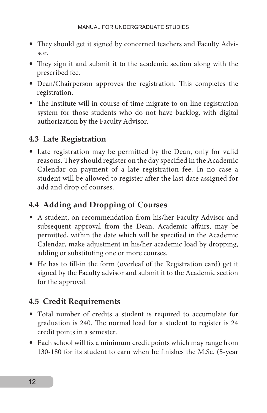- They should get it signed by concerned teachers and Faculty Advisor.
- They sign it and submit it to the academic section along with the prescribed fee.
- Dean/Chairperson approves the registration. This completes the registration.
- The Institute will in course of time migrate to on-line registration system for those students who do not have backlog, with digital authorization by the Faculty Advisor.

# **4.3 Late Registration**

• Late registration may be permitted by the Dean, only for valid reasons. They should register on the day specified in the Academic Calendar on payment of a late registration fee. In no case a student will be allowed to register after the last date assigned for add and drop of courses.

# **4.4 Adding and Dropping of Courses**

- A student, on recommendation from his/her Faculty Advisor and subsequent approval from the Dean, Academic affairs, may be permitted, within the date which will be specified in the Academic Calendar, make adjustment in his/her academic load by dropping, adding or substituting one or more courses.
- He has to fill-in the form (overleaf of the Registration card) get it signed by the Faculty advisor and submit it to the Academic section for the approval.

# **4.5 Credit Requirements**

- Total number of credits a student is required to accumulate for graduation is 240. The normal load for a student to register is 24 credit points in a semester.
- Each school will fix a minimum credit points which may range from 130-180 for its student to earn when he finishes the M.Sc. (5-year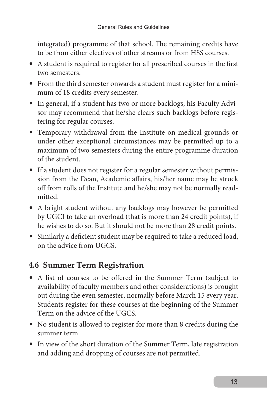integrated) programme of that school. The remaining credits have to be from either electives of other streams or from HSS courses.

- A student is required to register for all prescribed courses in the first two semesters.
- From the third semester onwards a student must register for a minimum of 18 credits every semester.
- In general, if a student has two or more backlogs, his Faculty Advisor may recommend that he/she clears such backlogs before registering for regular courses.
- Temporary withdrawal from the Institute on medical grounds or under other exceptional circumstances may be permitted up to a maximum of two semesters during the entire programme duration of the student.
- If a student does not register for a regular semester without permission from the Dean, Academic affairs, his/her name may be struck off from rolls of the Institute and he/she may not be normally readmitted.
- A bright student without any backlogs may however be permitted by UGCI to take an overload (that is more than 24 credit points), if he wishes to do so. But it should not be more than 28 credit points.
- Similarly a deficient student may be required to take a reduced load, on the advice from UGCS.

# **4.6 Summer Term Registration**

- A list of courses to be offered in the Summer Term (subject to availability of faculty members and other considerations) is brought out during the even semester, normally before March 15 every year. Students register for these courses at the beginning of the Summer Term on the advice of the UGCS.
- No student is allowed to register for more than 8 credits during the summer term.
- In view of the short duration of the Summer Term, late registration and adding and dropping of courses are not permitted.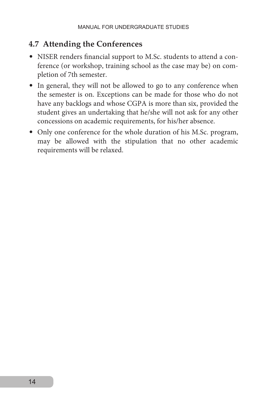# **4.7 Attending the Conferences**

- NISER renders financial support to M.Sc. students to attend a conference (or workshop, training school as the case may be) on completion of 7th semester.
- In general, they will not be allowed to go to any conference when the semester is on. Exceptions can be made for those who do not have any backlogs and whose CGPA is more than six, provided the student gives an undertaking that he/she will not ask for any other concessions on academic requirements, for his/her absence.
- Only one conference for the whole duration of his M.Sc. program, may be allowed with the stipulation that no other academic requirements will be relaxed.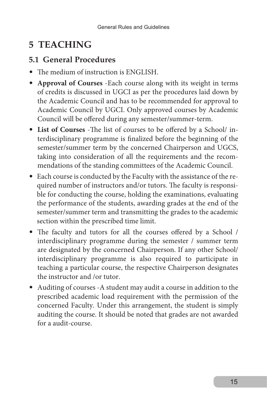# **5 TEACHING**

### **5.1 General Procedures**

- The medium of instruction is ENGLISH.
- **Approval of Courses** -Each course along with its weight in terms of credits is discussed in UGCI as per the procedures laid down by the Academic Council and has to be recommended for approval to Academic Council by UGCI. Only approved courses by Academic Council will be offered during any semester/summer-term.
- **List of Courses** -The list of courses to be offered by a School/ interdisciplinary programme is finalized before the beginning of the semester/summer term by the concerned Chairperson and UGCS, taking into consideration of all the requirements and the recommendations of the standing committees of the Academic Council.
- Each course is conducted by the Faculty with the assistance of the required number of instructors and/or tutors. The faculty is responsible for conducting the course, holding the examinations, evaluating the performance of the students, awarding grades at the end of the semester/summer term and transmitting the grades to the academic section within the prescribed time limit.
- The faculty and tutors for all the courses offered by a School / interdisciplinary programme during the semester / summer term are designated by the concerned Chairperson. If any other School/ interdisciplinary programme is also required to participate in teaching a particular course, the respective Chairperson designates the instructor and /or tutor.
- Auditing of courses -A student may audit a course in addition to the prescribed academic load requirement with the permission of the concerned Faculty. Under this arrangement, the student is simply auditing the course. It should be noted that grades are not awarded for a audit-course.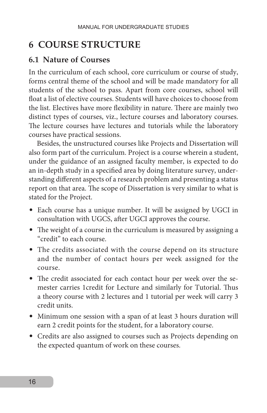# **6 COURSE STRUCTURE**

#### **6.1 Nature of Courses**

In the curriculum of each school, core curriculum or course of study, forms central theme of the school and will be made mandatory for all students of the school to pass. Apart from core courses, school will float a list of elective courses. Students will have choices to choose from the list. Electives have more flexibility in nature. There are mainly two distinct types of courses, viz., lecture courses and laboratory courses. The lecture courses have lectures and tutorials while the laboratory courses have practical sessions.

Besides, the unstructured courses like Projects and Dissertation will also form part of the curriculum. Project is a course wherein a student, under the guidance of an assigned faculty member, is expected to do an in-depth study in a specified area by doing literature survey, understanding different aspects of a research problem and presenting a status report on that area. The scope of Dissertation is very similar to what is stated for the Project.

- Each course has a unique number. It will be assigned by UGCI in consultation with UGCS, after UGCI approves the course.
- The weight of a course in the curriculum is measured by assigning a "credit" to each course.
- The credits associated with the course depend on its structure and the number of contact hours per week assigned for the course.
- The credit associated for each contact hour per week over the semester carries 1credit for Lecture and similarly for Tutorial. Thus a theory course with 2 lectures and 1 tutorial per week will carry 3 credit units.
- Minimum one session with a span of at least 3 hours duration will earn 2 credit points for the student, for a laboratory course.
- Credits are also assigned to courses such as Projects depending on the expected quantum of work on these courses.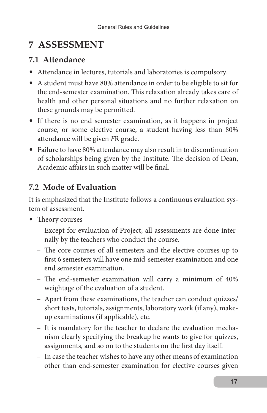# **7 ASSESSMENT**

### **7.1 Attendance**

- Attendance in lectures, tutorials and laboratories is compulsory.
- A student must have 80% attendance in order to be eligible to sit for the end-semester examination. This relaxation already takes care of health and other personal situations and no further relaxation on these grounds may be permitted.
- If there is no end semester examination, as it happens in project course, or some elective course, a student having less than 80% attendance will be given *F*R grade.
- Failure to have 80% attendance may also result in to discontinuation of scholarships being given by the Institute. The decision of Dean, Academic affairs in such matter will be final.

# **7.2 Mode of Evaluation**

It is emphasized that the Institute follows a continuous evaluation system of assessment.

- Theory courses
	- Except for evaluation of Project, all assessments are done internally by the teachers who conduct the course.
	- The core courses of all semesters and the elective courses up to first 6 semesters will have one mid-semester examination and one end semester examination.
	- The end-semester examination will carry a minimum of 40% weightage of the evaluation of a student.
	- Apart from these examinations, the teacher can conduct quizzes/ short tests, tutorials, assignments, laboratory work (if any), makeup examinations (if applicable), etc.
	- It is mandatory for the teacher to declare the evaluation mechanism clearly specifying the breakup he wants to give for quizzes, assignments, and so on to the students on the first day itself.
	- In case the teacher wishes to have any other means of examination other than end-semester examination for elective courses given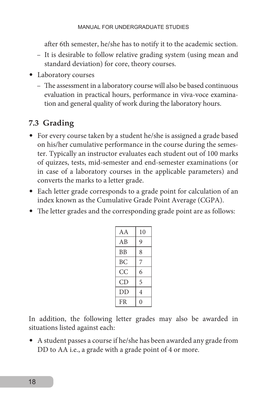after 6th semester, he/she has to notify it to the academic section.

- It is desirable to follow relative grading system (using mean and standard deviation) for core, theory courses.
- Laboratory courses
	- The assessment in a laboratory course will also be based continuous evaluation in practical hours, performance in viva-voce examination and general quality of work during the laboratory hours.

# **7.3 Grading**

- For every course taken by a student he/she is assigned a grade based on his/her cumulative performance in the course during the semester. Typically an instructor evaluates each student out of 100 marks of quizzes, tests, mid-semester and end-semester examinations (or in case of a laboratory courses in the applicable parameters) and converts the marks to a letter grade.
- Each letter grade corresponds to a grade point for calculation of an index known as the Cumulative Grade Point Average (CGPA).
- The letter grades and the corresponding grade point are as follows:

| A A       | 10 |
|-----------|----|
| AB        | 9  |
| <b>BB</b> | 8  |
| ВC        | 7  |
| <b>CC</b> | 6  |
| CD        | 5  |
| DD        | 4  |
| <b>FR</b> | 0  |

In addition, the following letter grades may also be awarded in situations listed against each:

• A student passes a course if he/she has been awarded any grade from DD to AA i.e., a grade with a grade point of 4 or more.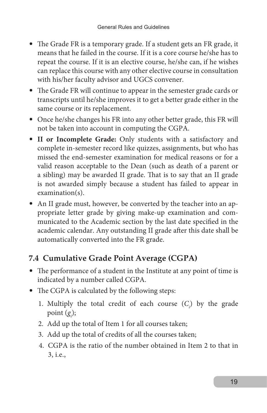- The Grade FR is a temporary grade. If a student gets an FR grade, it means that he failed in the course. If it is a core course he/she has to repeat the course. If it is an elective course, he/she can, if he wishes can replace this course with any other elective course in consultation with his/her faculty advisor and UGCS convener.
- The Grade FR will continue to appear in the semester grade cards or transcripts until he/she improves it to get a better grade either in the same course or its replacement.
- Once he/she changes his FR into any other better grade, this FR will not be taken into account in computing the CGPA.
- **II or Incomplete Grade:** Only students with a satisfactory and complete in-semester record like quizzes, assignments, but who has missed the end-semester examination for medical reasons or for a valid reason acceptable to the Dean (such as death of a parent or a sibling) may be awarded II grade. That is to say that an II grade is not awarded simply because a student has failed to appear in examination(s).
- An II grade must, however, be converted by the teacher into an appropriate letter grade by giving make-up examination and communicated to the Academic section by the last date specified in the academic calendar. Any outstanding II grade after this date shall be automatically converted into the FR grade.

# **7.4 Cumulative Grade Point Average (CGPA)**

- The performance of a student in the Institute at any point of time is indicated by a number called CGPA.
- The CGPA is calculated by the following steps:
	- 1. Multiply the total credit of each course  $(C_i)$  by the grade point  $(g_i)$ ;
	- 2. Add up the total of Item 1 for all courses taken;
	- 3. Add up the total of credits of all the courses taken;
	- 4. CGPA is the ratio of the number obtained in Item 2 to that in 3, i.e.,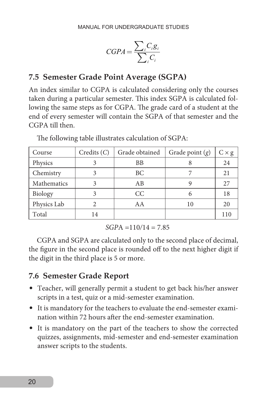$$
CGPA = \frac{\sum_{i} C_{i} g_{i}}{\sum_{i} C_{i}}
$$

#### **7.5 Semester Grade Point Average (SGPA)**

An index similar to CGPA is calculated considering only the courses taken during a particular semester. This index SGPA is calculated following the same steps as for CGPA. The grade card of a student at the end of every semester will contain the SGPA of that semester and the CGPA till then.

| Course      | $C$ redits $(C)$ | Grade obtained | Grade point $(g)$ | $C \times g$ |
|-------------|------------------|----------------|-------------------|--------------|
| Physics     |                  | <b>BB</b>      |                   | 24           |
| Chemistry   |                  | BC             |                   | 21           |
| Mathematics |                  | AB             |                   | 27           |
| Biology     |                  | <sub>CC</sub>  |                   | 18           |
| Physics Lab |                  | AA             | 10                | 20           |
| Total       | 4                |                |                   |              |

The following table illustrates calculation of SGPA:

*SGP*A =110*/*14 = 7*.*85

CGPA and SGPA are calculated only to the second place of decimal, the figure in the second place is rounded off to the next higher digit if the digit in the third place is 5 or more.

#### **7.6 Semester Grade Report**

- Teacher, will generally permit a student to get back his/her answer scripts in a test, quiz or a mid-semester examination.
- It is mandatory for the teachers to evaluate the end-semester examination within 72 hours after the end-semester examination.
- It is mandatory on the part of the teachers to show the corrected quizzes, assignments, mid-semester and end-semester examination answer scripts to the students.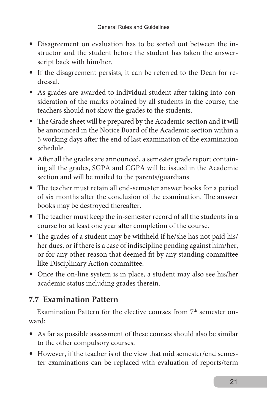- Disagreement on evaluation has to be sorted out between the instructor and the student before the student has taken the answerscript back with him/her.
- If the disagreement persists, it can be referred to the Dean for redressal.
- As grades are awarded to individual student after taking into consideration of the marks obtained by all students in the course, the teachers should not show the grades to the students.
- The Grade sheet will be prepared by the Academic section and it will be announced in the Notice Board of the Academic section within a 5 working days after the end of last examination of the examination schedule.
- After all the grades are announced, a semester grade report containing all the grades, SGPA and CGPA will be issued in the Academic section and will be mailed to the parents/guardians.
- The teacher must retain all end-semester answer books for a period of six months after the conclusion of the examination. The answer books may be destroyed thereafter.
- The teacher must keep the in-semester record of all the students in a course for at least one year after completion of the course.
- The grades of a student may be withheld if he/she has not paid his/ her dues, or if there is a case of indiscipline pending against him/her, or for any other reason that deemed fit by any standing committee like Disciplinary Action committee.
- Once the on-line system is in place, a student may also see his/her academic status including grades therein.

# **7.7 Examination Pattern**

Examination Pattern for the elective courses from  $7<sup>th</sup>$  semester onward:

- As far as possible assessment of these courses should also be similar to the other compulsory courses.
- However, if the teacher is of the view that mid semester/end semester examinations can be replaced with evaluation of reports/term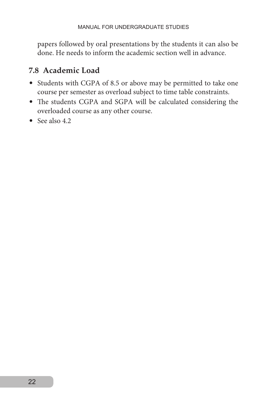papers followed by oral presentations by the students it can also be done. He needs to inform the academic section well in advance.

### **7.8 Academic Load**

- Students with CGPA of 8.5 or above may be permitted to take one course per semester as overload subject to time table constraints.
- The students CGPA and SGPA will be calculated considering the overloaded course as any other course.
- See also 4.2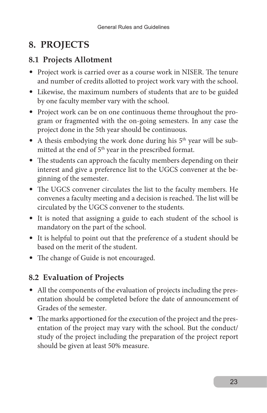# **8. PROJECTS**

### **8.1 Projects Allotment**

- Project work is carried over as a course work in NISER. The tenure and number of credits allotted to project work vary with the school.
- Likewise, the maximum numbers of students that are to be guided by one faculty member vary with the school.
- Project work can be on one continuous theme throughout the program or fragmented with the on-going semesters. In any case the project done in the 5th year should be continuous.
- A thesis embodying the work done during his  $5<sup>th</sup>$  year will be submitted at the end of 5<sup>th</sup> year in the prescribed format.
- The students can approach the faculty members depending on their interest and give a preference list to the UGCS convener at the beginning of the semester.
- The UGCS convener circulates the list to the faculty members. He convenes a faculty meeting and a decision is reached. The list will be circulated by the UGCS convener to the students.
- It is noted that assigning a guide to each student of the school is mandatory on the part of the school.
- It is helpful to point out that the preference of a student should be based on the merit of the student.
- The change of Guide is not encouraged.

# **8.2 Evaluation of Projects**

- All the components of the evaluation of projects including the presentation should be completed before the date of announcement of Grades of the semester.
- The marks apportioned for the execution of the project and the presentation of the project may vary with the school. But the conduct/ study of the project including the preparation of the project report should be given at least 50% measure.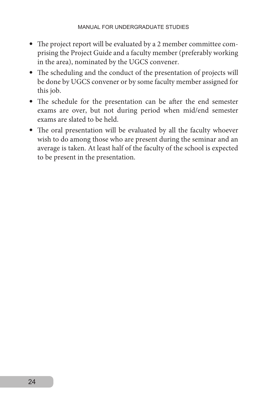- The project report will be evaluated by a 2 member committee comprising the Project Guide and a faculty member (preferably working in the area), nominated by the UGCS convener.
- The scheduling and the conduct of the presentation of projects will be done by UGCS convener or by some faculty member assigned for this job.
- The schedule for the presentation can be after the end semester exams are over, but not during period when mid/end semester exams are slated to be held.
- The oral presentation will be evaluated by all the faculty whoever wish to do among those who are present during the seminar and an average is taken. At least half of the faculty of the school is expected to be present in the presentation.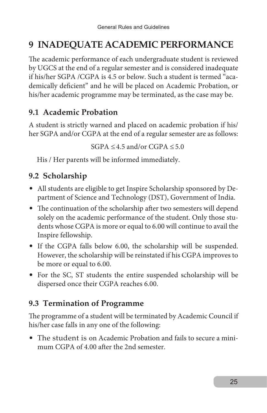# **9 INADEQUATE ACADEMIC PERFORMANCE**

The academic performance of each undergraduate student is reviewed by UGCS at the end of a regular semester and is considered inadequate if his/her SGPA /CGPA is 4.5 or below. Such a student is termed "academically deficient" and he will be placed on Academic Probation, or his/her academic programme may be terminated, as the case may be.

# **9.1 Academic Probation**

A student is strictly warned and placed on academic probation if his/ her SGPA and/or CGPA at the end of a regular semester are as follows:

 $SGPA \leq 4.5$  and/or  $CGPA \leq 5.0$ 

His / Her parents will be informed immediately.

# **9.2 Scholarship**

- All students are eligible to get Inspire Scholarship sponsored by Department of Science and Technology (DST), Government of India.
- The continuation of the scholarship after two semesters will depend solely on the academic performance of the student. Only those students whose CGPA is more or equal to 6.00 will continue to avail the Inspire fellowship.
- If the CGPA falls below 6.00, the scholarship will be suspended. However, the scholarship will be reinstated if his CGPA improves to be more or equal to 6.00.
- For the SC, ST students the entire suspended scholarship will be dispersed once their CGPA reaches 6.00.

# **9.3 Termination of Programme**

The programme of a student will be terminated by Academic Council if his/her case falls in any one of the following:

• The student is on Academic Probation and fails to secure a minimum CGPA of 4.00 after the 2nd semester.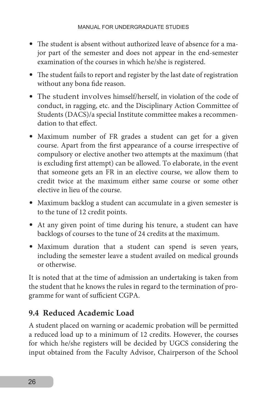- The student is absent without authorized leave of absence for a major part of the semester and does not appear in the end-semester examination of the courses in which he/she is registered.
- The student fails to report and register by the last date of registration without any bona fide reason.
- The student involves himself/herself, in violation of the code of conduct, in ragging, etc. and the Disciplinary Action Committee of Students (DACS)/a special Institute committee makes a recommendation to that effect.
- Maximum number of FR grades a student can get for a given course. Apart from the first appearance of a course irrespective of compulsory or elective another two attempts at the maximum (that is excluding first attempt) can be allowed. To elaborate, in the event that someone gets an FR in an elective course, we allow them to credit twice at the maximum either same course or some other elective in lieu of the course.
- Maximum backlog a student can accumulate in a given semester is to the tune of 12 credit points.
- At any given point of time during his tenure, a student can have backlogs of courses to the tune of 24 credits at the maximum.
- Maximum duration that a student can spend is seven years, including the semester leave a student availed on medical grounds or otherwise.

It is noted that at the time of admission an undertaking is taken from the student that he knows the rules in regard to the termination of programme for want of sufficient CGPA.

# **9.4 Reduced Academic Load**

A student placed on warning or academic probation will be permitted a reduced load up to a minimum of 12 credits. However, the courses for which he/she registers will be decided by UGCS considering the input obtained from the Faculty Advisor, Chairperson of the School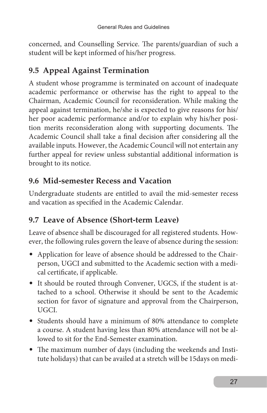concerned, and Counselling Service. The parents/guardian of such a student will be kept informed of his/her progress.

# **9.5 Appeal Against Termination**

A student whose programme is terminated on account of inadequate academic performance or otherwise has the right to appeal to the Chairman, Academic Council for reconsideration. While making the appeal against termination, he/she is expected to give reasons for his/ her poor academic performance and/or to explain why his/her position merits reconsideration along with supporting documents. The Academic Council shall take a final decision after considering all the available inputs. However, the Academic Council will not entertain any further appeal for review unless substantial additional information is brought to its notice.

# **9.6 Mid-semester Recess and Vacation**

Undergraduate students are entitled to avail the mid-semester recess and vacation as specified in the Academic Calendar.

# **9.7 Leave of Absence (Short-term Leave)**

Leave of absence shall be discouraged for all registered students. However, the following rules govern the leave of absence during the session:

- Application for leave of absence should be addressed to the Chairperson, UGCI and submitted to the Academic section with a medical certificate, if applicable.
- It should be routed through Convener, UGCS, if the student is attached to a school. Otherwise it should be sent to the Academic section for favor of signature and approval from the Chairperson, UGCI.
- Students should have a minimum of 80% attendance to complete a course. A student having less than 80% attendance will not be allowed to sit for the End-Semester examination.
- The maximum number of days (including the weekends and Institute holidays) that can be availed at a stretch will be 15days on medi-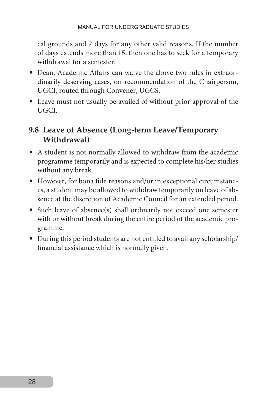cal grounds and 7 days for any other valid reasons. If the number of days extends more than 15, then one has to seek for a temporary withdrawal for a semester.

- Dean, Academic Affairs can waive the above two rules in extraordinarily deserving cases, on recommendation of the Chairperson, UGCI, routed through Convener, UGCS.
- Leave must not usually be availed of without prior approval of the UGCI.

### **9.8 Leave of Absence (Long-term Leave/Temporary Withdrawal)**

- A student is not normally allowed to withdraw from the academic programme temporarily and is expected to complete his/her studies without any break.
- However, for bona fide reasons and/or in exceptional circumstances, a student may be allowed to withdraw temporarily on leave of absence at the discretion of Academic Council for an extended period.
- Such leave of absence(s) shall ordinarily not exceed one semester with or without break during the entire period of the academic programme.
- During this period students are not entitled to avail any scholarship/ financial assistance which is normally given.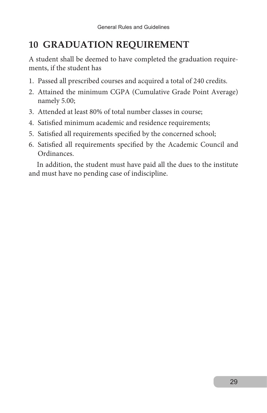# **10 GRADUATION REQUIREMENT**

A student shall be deemed to have completed the graduation requirements, if the student has

- 1. Passed all prescribed courses and acquired a total of 240 credits.
- 2. Attained the minimum CGPA (Cumulative Grade Point Average) namely 5.00;
- 3. Attended at least 80% of total number classes in course;
- 4. Satisfied minimum academic and residence requirements;
- 5. Satisfied all requirements specified by the concerned school;
- 6. Satisfied all requirements specified by the Academic Council and Ordinances.

In addition, the student must have paid all the dues to the institute and must have no pending case of indiscipline.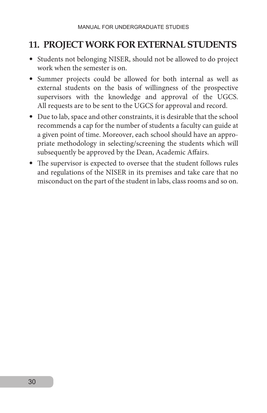# **11. PROJECT WORK FOR EXTERNAL STUDENTS**

- Students not belonging NISER, should not be allowed to do project work when the semester is on.
- Summer projects could be allowed for both internal as well as external students on the basis of willingness of the prospective supervisors with the knowledge and approval of the UGCS. All requests are to be sent to the UGCS for approval and record.
- Due to lab, space and other constraints, it is desirable that the school recommends a cap for the number of students a faculty can guide at a given point of time. Moreover, each school should have an appropriate methodology in selecting/screening the students which will subsequently be approved by the Dean, Academic Affairs.
- The supervisor is expected to oversee that the student follows rules and regulations of the NISER in its premises and take care that no misconduct on the part of the student in labs, class rooms and so on.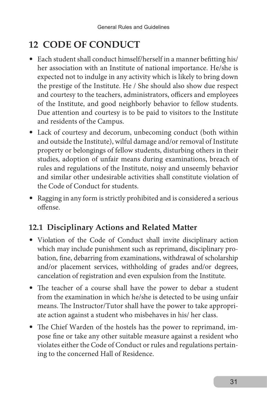# **12 CODE OF CONDUCT**

- Each student shall conduct himself/herself in a manner befitting his/ her association with an Institute of national importance. He/she is expected not to indulge in any activity which is likely to bring down the prestige of the Institute. He / She should also show due respect and courtesy to the teachers, administrators, officers and employees of the Institute, and good neighborly behavior to fellow students. Due attention and courtesy is to be paid to visitors to the Institute and residents of the Campus.
- Lack of courtesy and decorum, unbecoming conduct (both within and outside the Institute), wilful damage and/or removal of Institute property or belongings of fellow students, disturbing others in their studies, adoption of unfair means during examinations, breach of rules and regulations of the Institute, noisy and unseemly behavior and similar other undesirable activities shall constitute violation of the Code of Conduct for students.
- Ragging in any form is strictly prohibited and is considered a serious offense.

# **12.1 Disciplinary Actions and Related Matter**

- Violation of the Code of Conduct shall invite disciplinary action which may include punishment such as reprimand, disciplinary probation, fine, debarring from examinations, withdrawal of scholarship and/or placement services, withholding of grades and/or degrees, cancelation of registration and even expulsion from the Institute.
- The teacher of a course shall have the power to debar a student from the examination in which he/she is detected to be using unfair means. The Instructor/Tutor shall have the power to take appropriate action against a student who misbehaves in his/ her class.
- The Chief Warden of the hostels has the power to reprimand, impose fine or take any other suitable measure against a resident who violates either the Code of Conduct or rules and regulations pertaining to the concerned Hall of Residence.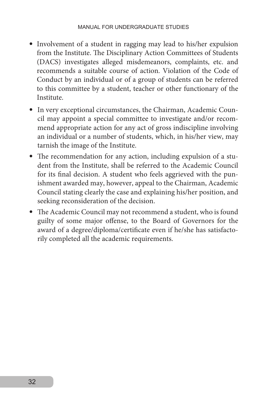- Involvement of a student in ragging may lead to his/her expulsion from the Institute. The Disciplinary Action Committees of Students (DACS) investigates alleged misdemeanors, complaints, etc. and recommends a suitable course of action. Violation of the Code of Conduct by an individual or of a group of students can be referred to this committee by a student, teacher or other functionary of the Institute.
- In very exceptional circumstances, the Chairman, Academic Council may appoint a special committee to investigate and/or recommend appropriate action for any act of gross indiscipline involving an individual or a number of students, which, in his/her view, may tarnish the image of the Institute.
- The recommendation for any action, including expulsion of a student from the Institute, shall be referred to the Academic Council for its final decision. A student who feels aggrieved with the punishment awarded may, however, appeal to the Chairman, Academic Council stating clearly the case and explaining his/her position, and seeking reconsideration of the decision.
- The Academic Council may not recommend a student, who is found guilty of some major offense, to the Board of Governors for the award of a degree/diploma/certificate even if he/she has satisfactorily completed all the academic requirements.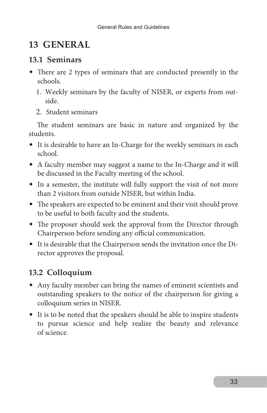# **13 GENERAL**

#### **13.1 Seminars**

- There are 2 types of seminars that are conducted presently in the schools.
	- 1. Weekly seminars by the faculty of NISER, or experts from outside.
	- 2. Student seminars

The student seminars are basic in nature and organized by the students.

- It is desirable to have an In-Charge for the weekly seminars in each school.
- A faculty member may suggest a name to the In-Charge and it will be discussed in the Faculty meeting of the school.
- In a semester, the institute will fully support the visit of not more than 2 visitors from outside NISER, but within India.
- The speakers are expected to be eminent and their visit should prove to be useful to both faculty and the students.
- The proposer should seek the approval from the Director through Chairperson before sending any official communication.
- It is desirable that the Chairperson sends the invitation once the Director approves the proposal.

# **13.2 Colloquium**

- Any faculty member can bring the names of eminent scientists and outstanding speakers to the notice of the chairperson for giving a colloquium series in NISER.
- It is to be noted that the speakers should be able to inspire students to pursue science and help realize the beauty and relevance of science.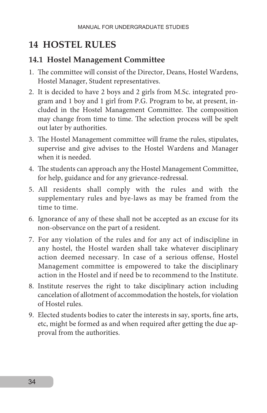# **14 HOSTEL RULES**

#### **14.1 Hostel Management Committee**

- 1. The committee will consist of the Director, Deans, Hostel Wardens, Hostel Manager, Student representatives.
- 2. It is decided to have 2 boys and 2 girls from M.Sc. integrated program and 1 boy and 1 girl from P.G. Program to be, at present, included in the Hostel Management Committee. The composition may change from time to time. The selection process will be spelt out later by authorities.
- 3. The Hostel Management committee will frame the rules, stipulates, supervise and give advises to the Hostel Wardens and Manager when it is needed.
- 4. The students can approach any the Hostel Management Committee, for help, guidance and for any grievance-redressal.
- 5. All residents shall comply with the rules and with the supplementary rules and bye-laws as may be framed from the time to time.
- 6. Ignorance of any of these shall not be accepted as an excuse for its non-observance on the part of a resident.
- 7. For any violation of the rules and for any act of indiscipline in any hostel, the Hostel warden shall take whatever disciplinary action deemed necessary. In case of a serious offense, Hostel Management committee is empowered to take the disciplinary action in the Hostel and if need be to recommend to the Institute.
- 8. Institute reserves the right to take disciplinary action including cancelation of allotment of accommodation the hostels, for violation of Hostel rules.
- 9. Elected students bodies to cater the interests in say, sports, fine arts, etc, might be formed as and when required after getting the due approval from the authorities.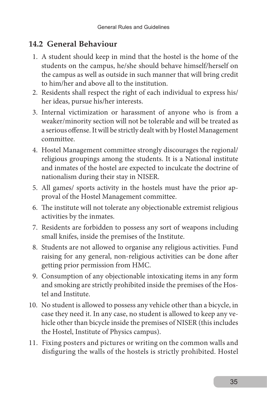### **14.2 General Behaviour**

- 1. A student should keep in mind that the hostel is the home of the students on the campus, he/she should behave himself/herself on the campus as well as outside in such manner that will bring credit to him/her and above all to the institution.
- 2. Residents shall respect the right of each individual to express his/ her ideas, pursue his/her interests.
- 3. Internal victimization or harassment of anyone who is from a weaker/minority section will not be tolerable and will be treated as a serious offense. It will be strictly dealt with by Hostel Management committee.
- 4. Hostel Management committee strongly discourages the regional/ religious groupings among the students. It is a National institute and inmates of the hostel are expected to inculcate the doctrine of nationalism during their stay in NISER.
- 5. All games/ sports activity in the hostels must have the prior approval of the Hostel Management committee.
- 6. The institute will not tolerate any objectionable extremist religious activities by the inmates.
- 7. Residents are forbidden to possess any sort of weapons including small knifes, inside the premises of the Institute.
- 8. Students are not allowed to organise any religious activities. Fund raising for any general, non-religious activities can be done after getting prior permission from HMC.
- 9. Consumption of any objectionable intoxicating items in any form and smoking are strictly prohibited inside the premises of the Hostel and Institute.
- 10. No student is allowed to possess any vehicle other than a bicycle, in case they need it. In any case, no student is allowed to keep any vehicle other than bicycle inside the premises of NISER (this includes the Hostel, Institute of Physics campus).
- 11. Fixing posters and pictures or writing on the common walls and disfiguring the walls of the hostels is strictly prohibited. Hostel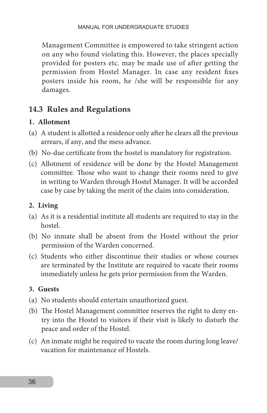Management Committee is empowered to take stringent action on any who found violating this. However, the places specially provided for posters etc. may be made use of after getting the permission from Hostel Manager. In case any resident fixes posters inside his room, he /she will be responsible for any damages.

### **14.3 Rules and Regulations**

#### **1. Allotment**

- (a) A student is allotted a residence only after he clears all the previous arrears, if any, and the mess advance.
- (b) No-due certificate from the hostel is mandatory for registration.
- (c) Allotment of residence will be done by the Hostel Management committee. Those who want to change their rooms need to give in writing to Warden through Hostel Manager. It will be accorded case by case by taking the merit of the claim into consideration.

#### **2. Living**

- (a) As it is a residential institute all students are required to stay in the hostel.
- (b) No inmate shall be absent from the Hostel without the prior permission of the Warden concerned.
- (c) Students who either discontinue their studies or whose courses are terminated by the Institute are required to vacate their rooms immediately unless he gets prior permission from the Warden.

#### **3. Guests**

- (a) No students should entertain unauthorized guest.
- (b) The Hostel Management committee reserves the right to deny entry into the Hostel to visitors if their visit is likely to disturb the peace and order of the Hostel.
- (c) An inmate might be required to vacate the room during long leave/ vacation for maintenance of Hostels.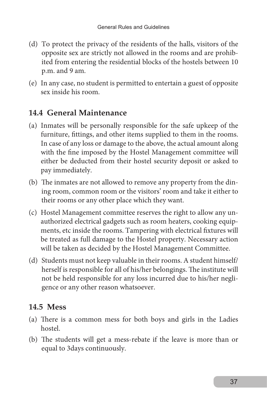- (d) To protect the privacy of the residents of the halls, visitors of the opposite sex are strictly not allowed in the rooms and are prohibited from entering the residential blocks of the hostels between 10 p.m. and 9 am.
- (e) In any case, no student is permitted to entertain a guest of opposite sex inside his room.

# **14.4 General Maintenance**

- (a) Inmates will be personally responsible for the safe upkeep of the furniture, fittings, and other items supplied to them in the rooms. In case of any loss or damage to the above, the actual amount along with the fine imposed by the Hostel Management committee will either be deducted from their hostel security deposit or asked to pay immediately.
- (b) The inmates are not allowed to remove any property from the dining room, common room or the visitors' room and take it either to their rooms or any other place which they want.
- (c) Hostel Management committee reserves the right to allow any unauthorized electrical gadgets such as room heaters, cooking equipments, etc inside the rooms. Tampering with electrical fixtures will be treated as full damage to the Hostel property. Necessary action will be taken as decided by the Hostel Management Committee.
- (d) Students must not keep valuable in their rooms. A student himself/ herself is responsible for all of his/her belongings. The institute will not be held responsible for any loss incurred due to his/her negligence or any other reason whatsoever.

# **14.5 Mess**

- (a) There is a common mess for both boys and girls in the Ladies hostel.
- (b) The students will get a mess-rebate if the leave is more than or equal to 3days continuously.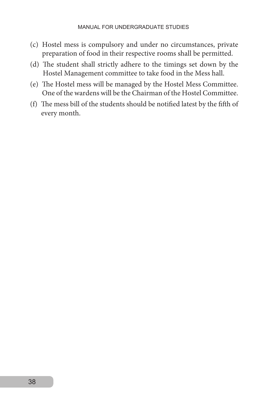- (c) Hostel mess is compulsory and under no circumstances, private preparation of food in their respective rooms shall be permitted.
- (d) The student shall strictly adhere to the timings set down by the Hostel Management committee to take food in the Mess hall.
- (e) The Hostel mess will be managed by the Hostel Mess Committee. One of the wardens will be the Chairman of the Hostel Committee.
- (f) The mess bill of the students should be notified latest by the fifth of every month.